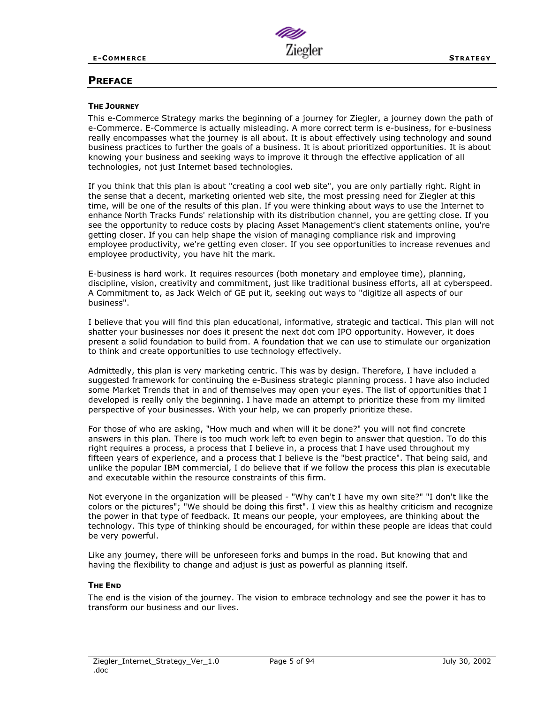

# **PREFACE**

#### **THE JOURNEY**

This e-Commerce Strategy marks the beginning of a journey for Ziegler, a journey down the path of e-Commerce. E-Commerce is actually misleading. A more correct term is e-business, for e-business really encompasses what the journey is all about. It is about effectively using technology and sound business practices to further the goals of a business. It is about prioritized opportunities. It is about knowing your business and seeking ways to improve it through the effective application of all technologies, not just Internet based technologies.

If you think that this plan is about "creating a cool web site", you are only partially right. Right in the sense that a decent, marketing oriented web site, the most pressing need for Ziegler at this time, will be one of the results of this plan. If you were thinking about ways to use the Internet to enhance North Tracks Funds' relationship with its distribution channel, you are getting close. If you see the opportunity to reduce costs by placing Asset Management's client statements online, you're getting closer. If you can help shape the vision of managing compliance risk and improving employee productivity, we're getting even closer. If you see opportunities to increase revenues and employee productivity, you have hit the mark.

E-business is hard work. It requires resources (both monetary and employee time), planning, discipline, vision, creativity and commitment, just like traditional business efforts, all at cyberspeed. A Commitment to, as Jack Welch of GE put it, seeking out ways to "digitize all aspects of our business".

I believe that you will find this plan educational, informative, strategic and tactical. This plan will not shatter your businesses nor does it present the next dot com IPO opportunity. However, it does present a solid foundation to build from. A foundation that we can use to stimulate our organization to think and create opportunities to use technology effectively.

Admittedly, this plan is very marketing centric. This was by design. Therefore, I have included a suggested framework for continuing the e-Business strategic planning process. I have also included some Market Trends that in and of themselves may open your eyes. The list of opportunities that I developed is really only the beginning. I have made an attempt to prioritize these from my limited perspective of your businesses. With your help, we can properly prioritize these.

For those of who are asking, "How much and when will it be done?" you will not find concrete answers in this plan. There is too much work left to even begin to answer that question. To do this right requires a process, a process that I believe in, a process that I have used throughout my fifteen years of experience, and a process that I believe is the "best practice". That being said, and unlike the popular IBM commercial, I do believe that if we follow the process this plan is executable and executable within the resource constraints of this firm.

Not everyone in the organization will be pleased - "Why can't I have my own site?" "I don't like the colors or the pictures"; "We should be doing this first". I view this as healthy criticism and recognize the power in that type of feedback. It means our people, your employees, are thinking about the technology. This type of thinking should be encouraged, for within these people are ideas that could be very powerful.

Like any journey, there will be unforeseen forks and bumps in the road. But knowing that and having the flexibility to change and adjust is just as powerful as planning itself.

## **THE END**

The end is the vision of the journey. The vision to embrace technology and see the power it has to transform our business and our lives.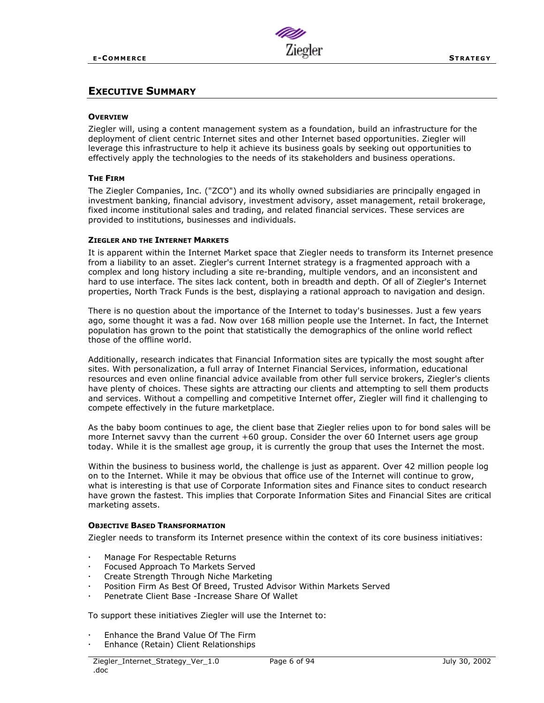

# **EXECUTIVE SUMMARY**

#### **OVERVIEW**

Ziegler will, using a content management system as a foundation, build an infrastructure for the deployment of client centric Internet sites and other Internet based opportunities. Ziegler will leverage this infrastructure to help it achieve its business goals by seeking out opportunities to effectively apply the technologies to the needs of its stakeholders and business operations.

## **THE FIRM**

The Ziegler Companies, Inc. ("ZCO") and its wholly owned subsidiaries are principally engaged in investment banking, financial advisory, investment advisory, asset management, retail brokerage, fixed income institutional sales and trading, and related financial services. These services are provided to institutions, businesses and individuals.

## **ZIEGLER AND THE INTERNET MARKETS**

It is apparent within the Internet Market space that Ziegler needs to transform its Internet presence from a liability to an asset. Ziegler's current Internet strategy is a fragmented approach with a complex and long history including a site re-branding, multiple vendors, and an inconsistent and hard to use interface. The sites lack content, both in breadth and depth. Of all of Ziegler's Internet properties, North Track Funds is the best, displaying a rational approach to navigation and design.

There is no question about the importance of the Internet to today's businesses. Just a few years ago, some thought it was a fad. Now over 168 million people use the Internet. In fact, the Internet population has grown to the point that statistically the demographics of the online world reflect those of the offline world.

Additionally, research indicates that Financial Information sites are typically the most sought after sites. With personalization, a full array of Internet Financial Services, information, educational resources and even online financial advice available from other full service brokers, Ziegler's clients have plenty of choices. These sights are attracting our clients and attempting to sell them products and services. Without a compelling and competitive Internet offer, Ziegler will find it challenging to compete effectively in the future marketplace.

As the baby boom continues to age, the client base that Ziegler relies upon to for bond sales will be more Internet savvy than the current +60 group. Consider the over 60 Internet users age group today. While it is the smallest age group, it is currently the group that uses the Internet the most.

Within the business to business world, the challenge is just as apparent. Over 42 million people log on to the Internet. While it may be obvious that office use of the Internet will continue to grow, what is interesting is that use of Corporate Information sites and Finance sites to conduct research have grown the fastest. This implies that Corporate Information Sites and Financial Sites are critical marketing assets.

## **OBJECTIVE BASED TRANSFORMATION**

Ziegler needs to transform its Internet presence within the context of its core business initiatives:

- Manage For Respectable Returns
- Focused Approach To Markets Served
- Create Strength Through Niche Marketing
- Position Firm As Best Of Breed, Trusted Advisor Within Markets Served
- Penetrate Client Base -Increase Share Of Wallet

To support these initiatives Ziegler will use the Internet to:

- Enhance the Brand Value Of The Firm
- Enhance (Retain) Client Relationships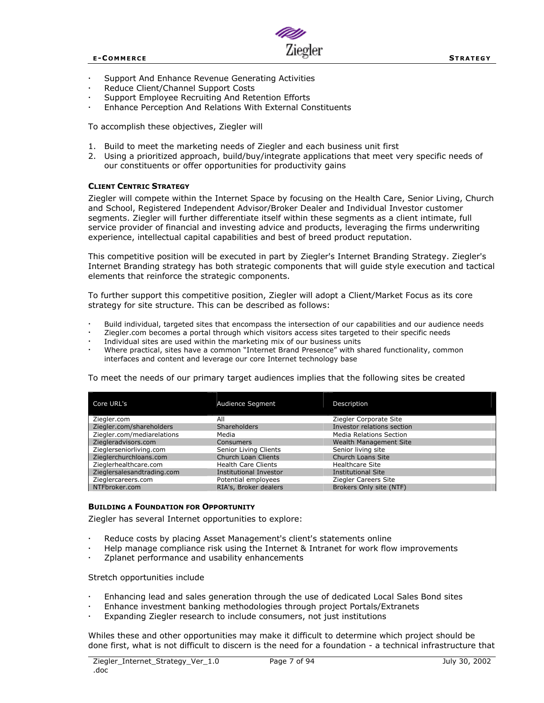

- Support And Enhance Revenue Generating Activities
- Reduce Client/Channel Support Costs
- Support Employee Recruiting And Retention Efforts
- Enhance Perception And Relations With External Constituents

To accomplish these objectives, Ziegler will

- 1. Build to meet the marketing needs of Ziegler and each business unit first
- 2. Using a prioritized approach, build/buy/integrate applications that meet very specific needs of our constituents or offer opportunities for productivity gains

## **CLIENT CENTRIC STRATEGY**

Ziegler will compete within the Internet Space by focusing on the Health Care, Senior Living, Church and School, Registered Independent Advisor/Broker Dealer and Individual Investor customer segments. Ziegler will further differentiate itself within these segments as a client intimate, full service provider of financial and investing advice and products, leveraging the firms underwriting experience, intellectual capital capabilities and best of breed product reputation.

This competitive position will be executed in part by Ziegler's Internet Branding Strategy. Ziegler's Internet Branding strategy has both strategic components that will guide style execution and tactical elements that reinforce the strategic components.

To further support this competitive position, Ziegler will adopt a Client/Market Focus as its core strategy for site structure. This can be described as follows:

- Build individual, targeted sites that encompass the intersection of our capabilities and our audience needs
- Ziegler.com becomes a portal through which visitors access sites targeted to their specific needs
- Individual sites are used within the marketing mix of our business units
- Where practical, sites have a common "Internet Brand Presence" with shared functionality, common interfaces and content and leverage our core Internet technology base

To meet the needs of our primary target audiences implies that the following sites be created

| Core URL's                 | Audience Segment           | Description                    |
|----------------------------|----------------------------|--------------------------------|
| Ziegler.com                | All                        | Ziegler Corporate Site         |
| Ziegler.com/shareholders   | <b>Shareholders</b>        | Investor relations section     |
| Ziegler.com/mediarelations | Media                      | <b>Media Relations Section</b> |
| Ziegleradvisors.com        | <b>Consumers</b>           | <b>Wealth Management Site</b>  |
| Zieglerseniorliving.com    | Senior Living Clients      | Senior living site             |
| Zieglerchurchloans.com     | Church Loan Clients        | <b>Church Loans Site</b>       |
| Zieglerhealthcare.com      | <b>Health Care Clients</b> | <b>Healthcare Site</b>         |
| Zieglersalesandtrading.com | Institutional Investor     | <b>Institutional Site</b>      |
| Zieglercareers.com         | Potential employees        | Ziegler Careers Site           |
| NTFbroker.com              | RIA's, Broker dealers      | Brokers Only site (NTF)        |

#### **BUILDING A FOUNDATION FOR OPPORTUNITY**

Ziegler has several Internet opportunities to explore:

- Reduce costs by placing Asset Management's client's statements online
- Help manage compliance risk using the Internet & Intranet for work flow improvements
- Zplanet performance and usability enhancements

Stretch opportunities include

- Enhancing lead and sales generation through the use of dedicated Local Sales Bond sites
- Enhance investment banking methodologies through project Portals/Extranets
- Expanding Ziegler research to include consumers, not just institutions

Whiles these and other opportunities may make it difficult to determine which project should be done first, what is not difficult to discern is the need for a foundation - a technical infrastructure that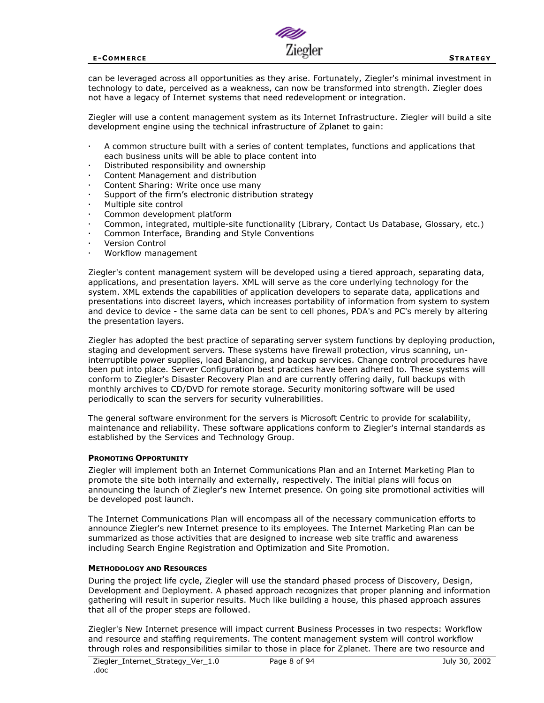

can be leveraged across all opportunities as they arise. Fortunately, Ziegler's minimal investment in technology to date, perceived as a weakness, can now be transformed into strength. Ziegler does not have a legacy of Internet systems that need redevelopment or integration.

Ziegler will use a content management system as its Internet Infrastructure. Ziegler will build a site development engine using the technical infrastructure of Zplanet to gain:

- A common structure built with a series of content templates, functions and applications that each business units will be able to place content into
- Distributed responsibility and ownership
- Content Management and distribution
- Content Sharing: Write once use many
- Support of the firm's electronic distribution strategy
- Multiple site control
- Common development platform
- Common, integrated, multiple-site functionality (Library, Contact Us Database, Glossary, etc.)
- Common Interface, Branding and Style Conventions
- Version Control
- Workflow management

Ziegler's content management system will be developed using a tiered approach, separating data, applications, and presentation layers. XML will serve as the core underlying technology for the system. XML extends the capabilities of application developers to separate data, applications and presentations into discreet layers, which increases portability of information from system to system and device to device - the same data can be sent to cell phones, PDA's and PC's merely by altering the presentation layers.

Ziegler has adopted the best practice of separating server system functions by deploying production, staging and development servers. These systems have firewall protection, virus scanning, uninterruptible power supplies, load Balancing, and backup services. Change control procedures have been put into place. Server Configuration best practices have been adhered to. These systems will conform to Ziegler's Disaster Recovery Plan and are currently offering daily, full backups with monthly archives to CD/DVD for remote storage. Security monitoring software will be used periodically to scan the servers for security vulnerabilities.

The general software environment for the servers is Microsoft Centric to provide for scalability, maintenance and reliability. These software applications conform to Ziegler's internal standards as established by the Services and Technology Group.

#### **PROMOTING OPPORTUNITY**

Ziegler will implement both an Internet Communications Plan and an Internet Marketing Plan to promote the site both internally and externally, respectively. The initial plans will focus on announcing the launch of Ziegler's new Internet presence. On going site promotional activities will be developed post launch.

The Internet Communications Plan will encompass all of the necessary communication efforts to announce Ziegler's new Internet presence to its employees. The Internet Marketing Plan can be summarized as those activities that are designed to increase web site traffic and awareness including Search Engine Registration and Optimization and Site Promotion.

#### **METHODOLOGY AND RESOURCES**

During the project life cycle, Ziegler will use the standard phased process of Discovery, Design, Development and Deployment. A phased approach recognizes that proper planning and information gathering will result in superior results. Much like building a house, this phased approach assures that all of the proper steps are followed.

Ziegler's New Internet presence will impact current Business Processes in two respects: Workflow and resource and staffing requirements. The content management system will control workflow through roles and responsibilities similar to those in place for Zplanet. There are two resource and